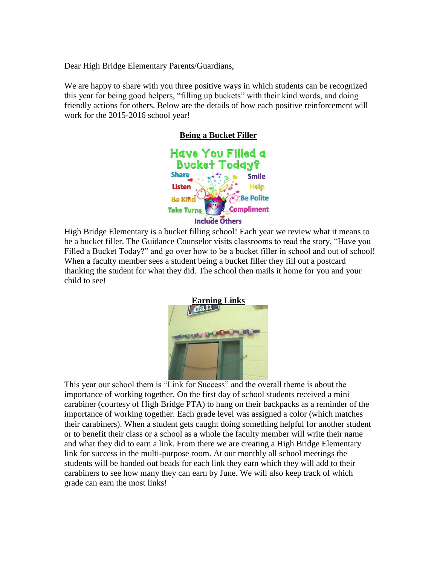Dear High Bridge Elementary Parents/Guardians,

We are happy to share with you three positive ways in which students can be recognized this year for being good helpers, "filling up buckets" with their kind words, and doing friendly actions for others. Below are the details of how each positive reinforcement will work for the 2015-2016 school year!



High Bridge Elementary is a bucket filling school! Each year we review what it means to be a bucket filler. The Guidance Counselor visits classrooms to read the story, "Have you Filled a Bucket Today?" and go over how to be a bucket filler in school and out of school! When a faculty member sees a student being a bucket filler they fill out a postcard thanking the student for what they did. The school then mails it home for you and your child to see!



This year our school them is "Link for Success" and the overall theme is about the importance of working together. On the first day of school students received a mini carabiner (courtesy of High Bridge PTA) to hang on their backpacks as a reminder of the importance of working together. Each grade level was assigned a color (which matches their carabiners). When a student gets caught doing something helpful for another student or to benefit their class or a school as a whole the faculty member will write their name and what they did to earn a link. From there we are creating a High Bridge Elementary link for success in the multi-purpose room. At our monthly all school meetings the students will be handed out beads for each link they earn which they will add to their carabiners to see how many they can earn by June. We will also keep track of which grade can earn the most links!